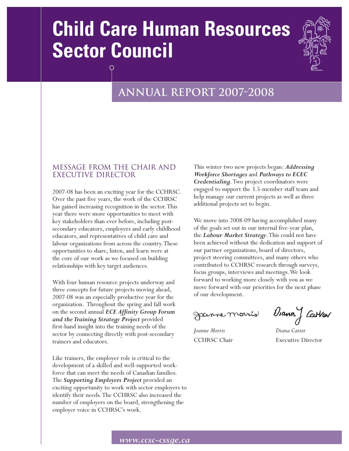# **Child Care Human Resources Sector Council**



## **Annual report 2007-2008**

## MESSAGE FROM THE CHAIR AND EXECUTIVE DIRECTOR

2007-08 has been an exciting year for the CCHRSC. Over the past five years, the work of the CCHRSC has gained increasing recognition in the sector.This year there were more opportunities to meet with key stakeholders than ever before, including postsecondary educators, employers and early childhood educators, and representatives of child care and labour organizations from across the country.These opportunities to share, listen, and learn were at the core of our work as we focused on building relationships with key target audiences.

With four human resource projects underway and three concepts for future projects moving ahead, 2007-08 was an especially productive year for the organization. Throughout the spring and fall work on the second annual *ECE Affinity Group Forum and the Training Strategy Project* provided first-hand insight into the training needs of the sector by connecting directly with post-secondary trainers and educators.

Like trainers, the employer role is critical to the development of a skilled and well-supported workforce that can meet the needs of Canadian families. The *Supporting Employers Project* provided an exciting opportunity to work with sector employers to identify their needs.The CCHRSC also increased the number of employers on the board, strengthening the employer voice in CCHRSC's work.

This winter two new projects began: *Addressing Workforce Shortages* and *Pathways to ECEC Credentialing*.Two project coordinators were engaged to support the 3.5-member staff team and help manage our current projects as well as three additional projects set to begin.

We move into 2008-09 having accomplished many of the goals set out in our internal five-year plan, the *Labour Market Strategy*.This could not have been achieved without the dedication and support of our partner organizations, board of directors, project steering committees, and many others who contributed to CCHRSC research through surveys, focus groups, interviews and meetings.We look forward to working more closely with you as we move forward with our priorities for the next phase of our development.

Janne morris

*Joanne Morris Diana Carter*

Diana J Carvar

CCHRSC Chair Executive Director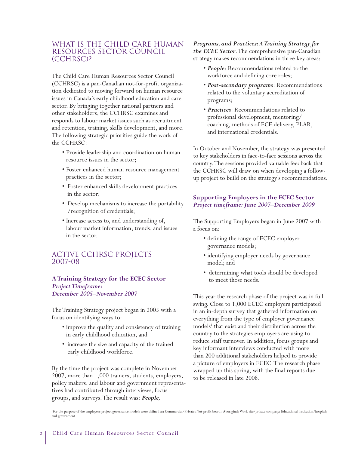## WHAT IS THE CHILD CARE HUMAN Resources Sector Council (CCHRSC)?

The Child Care Human Resources Sector Council (CCHRSC) is a pan-Canadian not-for-profit organization dedicated to moving forward on human resource issues in Canada's early childhood education and care sector. By bringing together national partners and other stakeholders, the CCHRSC examines and responds to labour market issues such as recruitment and retention, training, skills development, and more. The following strategic priorities guide the work of the CCHRSC:

- Provide leadership and coordination on human resource issues in the sector;
- Foster enhanced human resource management practices in the sector;
- Foster enhanced skills development practices in the sector;
- Develop mechanisms to increase the portability /recognition of credentials;
- Increase access to, and understanding of, labour market information, trends, and issues in the sector.

## Active CCHRSC Projects 2007-08

#### **A Training Strategy for the ECEC Sector**  *Project Timeframe: December 2005–November 2007*

The Training Strategy project began in 2005 with a focus on identifying ways to:

- improve the quality and consistency of training in early childhood education, and
- increase the size and capacity of the trained early childhood workforce.

By the time the project was complete in November 2007, more than 1,000 trainers, students, employers, policy makers, and labour and government representatives had contributed through interviews, focus groups, and surveys.The result was: *People,*

*Programs, and Practices:A Training Strategy for the ECEC Sector*.The comprehensive pan-Canadian strategy makes recommendations in three key areas:

- *People*: Recommendations related to the workforce and defining core roles;
- *Post-secondary programs*: Recommendations related to the voluntary accreditation of programs;
- *Practices*: Recommendations related to professional development, mentoring/ coaching, methods of ECE delivery, PLAR, and international credentials.

In October and November, the strategy was presented to key stakeholders in face-to-face sessions across the country.The sessions provided valuable feedback that the CCHRSC will draw on when developing a followup project to build on the strategy's recommendations.

#### **Supporting Employers in the ECEC Sector**  *Project timeframe: June 2007–December 2009*

The Supporting Employers began in June 2007 with a focus on:

- defining the range of ECEC employer governance models;
- identifying employer needs by governance model; and
- determining what tools should be developed to meet those needs.

This year the research phase of the project was in full swing. Close to 1,000 ECEC employers participated in an in-depth survey that gathered information on everything from the type of employer governance models<sup>1</sup> that exist and their distribution across the country to the strategies employers are using to reduce staff turnover. In addition, focus groups and key informant interviews conducted with more than 200 additional stakeholders helped to provide a picture of employers in ECEC.The research phase wrapped up this spring, with the final reports due to be released in late 2008.

1 For the purpose of the employers project governance models were defined as: Commercial/Private; Not-profit board; Aboriginal;Work site/private company; Educational institution/hospital; and government.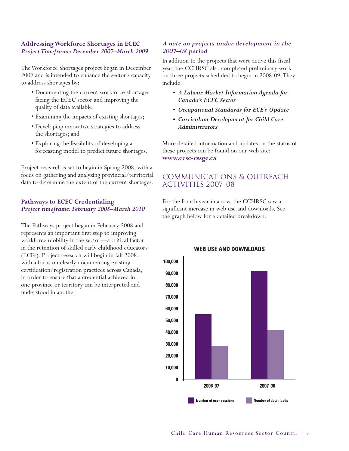#### **Addressing Workforce Shortages in ECEC** *Project Timeframe: December 2007–March 2009*

The Workforce Shortages project began in December 2007 and is intended to enhance the sector's capacity to address shortages by:

- Documenting the current workforce shortages facing the ECEC sector and improving the quality of data available;
- Examining the impacts of existing shortages;
- Developing innovative strategies to address the shortages; and
- Exploring the feasibility of developing a forecasting model to predict future shortages.

Project research is set to begin in Spring 2008, with a focus on gathering and analyzing provincial/territorial data to determine the extent of the current shortages.

#### **Pathways to ECEC Credentialing** *Project timeframe: February 2008–March 2010*

The Pathways project began in February 2008 and represents an important first step to improving workforce mobility in the sector—a critical factor in the retention of skilled early childhood educators (ECEs). Project research will begin in fall 2008, with a focus on clearly documenting existing certification/registration practices across Canada, in order to ensure that a credential achieved in one province or territory can be interpreted and understood in another.

#### *A note on projects under development in the 2007–08 period*

In addition to the projects that were active this fiscal year, the CCHRSC also completed preliminary work on three projects scheduled to begin in 2008-09.They include:

- *A Labour Market Information Agenda for Canada's ECEC Sector*
- *Occupational Standards for ECE's Update*
- *Curriculum Development for Child Care Administrators*

More detailed information and updates on the status of these projects can be found on our web site: **www.ccsc-cssge.ca** 

## Communications & Outreach Activities 2007–08

For the fourth year in a row, the CCHRSC saw a significant increase in web use and downloads. See the graph below for a detailed breakdown.



#### **WEB USE AND DOWNLOADS**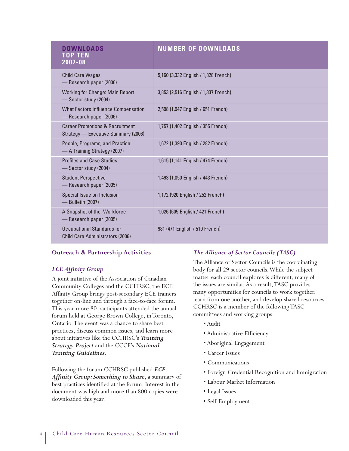| DOWNIOADS<br>TOP TEN<br>$2007 - 08$                                               | <b>NUMBER OF DOWNLOADS</b>           |
|-----------------------------------------------------------------------------------|--------------------------------------|
| <b>Child Care Wages</b><br>- Research paper (2006)                                | 5,160 (3,332 English / 1,828 French) |
| <b>Working for Change: Main Report</b><br>-Sector study (2004)                    | 3,853 (2,516 English / 1,337 French) |
| <b>What Factors Influence Compensation</b><br>- Research paper (2006)             | 2,598 (1,947 English / 651 French)   |
| <b>Career Promotions &amp; Recruitment</b><br>Strategy - Executive Summary (2006) | 1,757 (1,402 English / 355 French)   |
| People, Programs, and Practice:<br>- A Training Strategy (2007)                   | 1,672 (1,390 English / 282 French)   |
| <b>Profiles and Case Studies</b><br>-Sector study (2004)                          | 1,615 (1,141 English / 474 French)   |
| <b>Student Perspective</b><br>- Research paper (2005)                             | 1,493 (1,050 English / 443 French)   |
| Special Issue on Inclusion<br>- Bulletin (2007)                                   | 1,172 (920 English / 252 French)     |
| A Snapshot of the Workforce<br>- Research paper (2005)                            | 1,026 (605 English / 421 French)     |
| <b>Occupational Standards for</b><br><b>Child Care Administrators (2006)</b>      | 981 (471 English / 510 French)       |

## **Outreach & Partnership Activities**

#### *ECE Affinity Group*

A joint initiative of the Association of Canadian Community Colleges and the CCHRSC, the ECE Affinity Group brings post-secondary ECE trainers together on-line and through a face-to-face forum. This year more 80 participants attended the annual forum held at George Brown College, in Toronto, Ontario.The event was a chance to share best practices, discuss common issues, and learn more about initiatives like the CCHRSC's *Training Strategy Project* and the CCCF's *National Training Guidelines*.

Following the forum CCHRSC published *ECE Affinity Group: Something to Share*, a summary of best practices identified at the forum. Interest in the document was high and more than 800 copies were downloaded this year.

#### *The Alliance of Sector Councils (TASC)*

The Alliance of Sector Councils is the coordinating body for all 29 sector councils.While the subject matter each council explores is different, many of the issues are similar. As a result,TASC provides many opportunities for councils to work together, learn from one another, and develop shared resources. CCHRSC is a member of the following TASC committees and working groups:

- Audit
- Administrative Efficiency
- Aboriginal Engagement
- Career Issues
- Communications
- Foreign Credential Recognition and Immigration
- Labour Market Information
- Legal Issues
- Self-Employment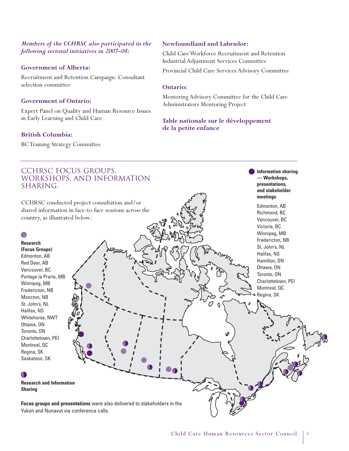#### *Members of the CCHRSC also participated in the following sectoral initiatives in 2007–08:*

#### **Government of Alberta:**

Recruitment and Retention Campaign: Consultant selection committee

#### **Government of Ontario:**

Expert Panel on Quality and Human Resource Issues in Early Learning and Child Care

#### **British Columbia:**

BC Training Strategy Committee

## **Newfoundland and Labrador:**

Child Care Workforce Recruitment and Retention Industrial Adjustment Services Committee

Provincial Child Care Services Advisory Committee

#### **Ontario:**

Mentoring Advisory Committee for the Child Care Administrators Mentoring Project

## **Table nationale sur le développement de la petite enfance**

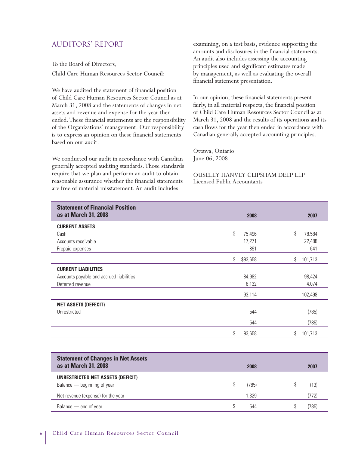## AUDITORS' REPORT

To the Board of Directors, Child Care Human Resources Sector Council:

We have audited the statement of financial position of Child Care Human Resources Sector Council as at March 31, 2008 and the statements of changes in net assets and revenue and expense for the year then ended.These financial statements are the responsibility of the Organizations' management. Our responsibility is to express an opinion on these financial statements based on our audit.

We conducted our audit in accordance with Canadian generally accepted auditing standards.Those standards require that we plan and perform an audit to obtain reasonable assurance whether the financial statements are free of material misstatement. An audit includes

examining, on a test basis, evidence supporting the amounts and disclosures in the financial statements. An audit also includes assessing the accounting principles used and significant estimates made by management, as well as evaluating the overall financial statement presentation.

In our opinion, these financial statements present fairly, in all material respects, the financial position of Child Care Human Resources Sector Council as at March 31, 2008 and the results of its operations and its cash flows for the year then ended in accordance with Canadian generally accepted accounting principles.

Ottawa, Ontario June 06, 2008

OUSELEY HANVEY CLIPSHAM DEEP LLP Licensed Public Accountants

| <b>Statement of Financial Position</b><br>as at March 31, 2008 | 2008           | 2007          |
|----------------------------------------------------------------|----------------|---------------|
| <b>CURRENT ASSETS</b>                                          |                |               |
| Cash                                                           | \$<br>75,496   | \$<br>78,584  |
| Accounts receivable                                            | 17,271         | 22,488        |
| Prepaid expenses                                               | 891            | 641           |
|                                                                | \$<br>\$93,658 | \$<br>101,713 |
| <b>CURRENT LIABILITIES</b>                                     |                |               |
| Accounts payable and accrued liabilities                       | 84,982         | 98,424        |
| Deferred revenue                                               | 8,132          | 4,074         |
|                                                                | 93,114         | 102,498       |
| <b>NET ASSETS (DEFECIT)</b>                                    |                |               |
| Unrestricted                                                   | 544            | (785)         |
|                                                                | 544            | (785)         |
|                                                                | \$<br>93,658   | \$<br>101,713 |

| <b>Statement of Changes in Net Assets</b><br>as at March 31, 2008 | 2008  |  | 2007  |
|-------------------------------------------------------------------|-------|--|-------|
| UNRESTRICTED NET ASSETS (DEFICIT)<br>Balance - beginning of year  | (785) |  | (13)  |
| Net revenue (expense) for the year                                | 1.329 |  | (772) |
| Balance — end of year                                             | 544   |  | (785) |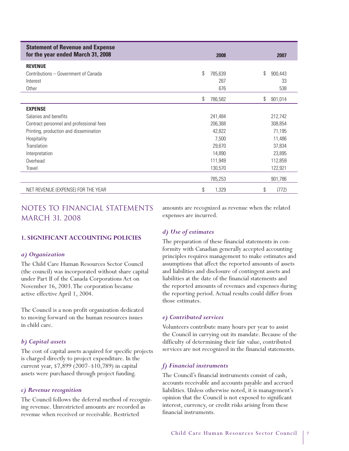| <b>Statement of Revenue and Expense</b><br>for the year ended March 31, 2008 | 2008          | 2007          |
|------------------------------------------------------------------------------|---------------|---------------|
| <b>REVENUE</b>                                                               |               |               |
| Contributions - Government of Canada                                         | \$<br>785,639 | \$<br>900,443 |
| Interest                                                                     | 267           | 33            |
| Other                                                                        | 676           | 538           |
|                                                                              | \$<br>786,582 | \$<br>901,014 |
| <b>EXPENSE</b>                                                               |               |               |
| Salaries and benefits                                                        | 241,484       | 212,742       |
| Contract personnel and professional fees                                     | 206,368       | 308,854       |
| Printing, production and dissemination                                       | 42,822        | 71,195        |
| Hospitality                                                                  | 7,500         | 11,486        |
| Translation                                                                  | 29,670        | 37,834        |
| Interpretation                                                               | 14,890        | 23,895        |
| Overhead                                                                     | 111,949       | 112,859       |
| Travel                                                                       | 130,570       | 122,921       |
|                                                                              | 785,253       | 901,786       |
| NET REVENUE (EXPENSE) FOR THE YEAR                                           | \$<br>1,329   | \$<br>(772)   |

## NOTES TO FINANCIAL STATEMENTS MARCH 31, 2008

**1. SIGNIFICANT ACCOUNTING POLICIES**

#### *a) Organization*

The Child Care Human Resources Sector Council (the council) was incorporated without share capital under Part II of the Canada Corporations Act on November 16, 2003.The corporation became active effective April 1, 2004.

The Council is a non profit organization dedicated to moving forward on the human resources issues in child care.

#### *b) Capital assets*

The cost of capital assets acquired for specific projects is charged directly to project expenditure. In the current year, \$7,899 (2007–\$10,789) in capital assets were purchased through project funding.

#### *c) Revenue recognition*

The Council follows the deferral method of recognizing revenue. Unrestricted amounts are recorded as revenue when received or receivable. Restricted

amounts are recognized as revenue when the related expenses are incurred.

#### *d) Use of estimates*

The preparation of these financial statements in conformity with Canadian generally accepted accounting principles requires management to make estimates and assumptions that affect the reported amounts of assets and liabilities and disclosure of contingent assets and liabilities at the date of the financial statements and the reported amounts of revenues and expenses during the reporting period. Actual results could differ from those estimates.

#### *e) Contributed services*

Volunteers contribute many hours per year to assist the Council in carrying out its mandate. Because of the difficulty of determining their fair value, contributed services are not recognized in the financial statements.

#### *f) Financial instruments*

The Council's financial instruments consist of cash, accounts receivable and accounts payable and accrued liabilities. Unless otherwise noted, it is management's opinion that the Council is not exposed to significant interest, currency, or credit risks arising from these financial instruments.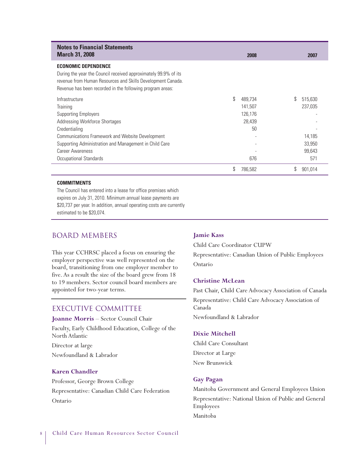| <b>Notes to Financial Statements</b><br><b>March 31, 2008</b>                                                                                                                                                             | 2008          | 2007          |
|---------------------------------------------------------------------------------------------------------------------------------------------------------------------------------------------------------------------------|---------------|---------------|
| <b>ECONOMIC DEPENDENCE</b><br>During the year the Council received approximately 99.9% of its<br>revenue from Human Resources and Skills Development Canada.<br>Revenue has been recorded in the following program areas: |               |               |
| Infrastructure                                                                                                                                                                                                            | \$<br>489.734 | 515,630       |
| Training                                                                                                                                                                                                                  | 141,507       | 237,035       |
| <b>Supporting Employers</b>                                                                                                                                                                                               | 126.176       |               |
| Addressing Workforce Shortages                                                                                                                                                                                            | 28,439        |               |
| Credentialing                                                                                                                                                                                                             | 50            |               |
| Communications Framework and Website Development                                                                                                                                                                          |               | 14,185        |
| Supporting Administration and Management in Child Care                                                                                                                                                                    |               | 33,950        |
| <b>Career Awareness</b>                                                                                                                                                                                                   |               | 99,643        |
| Occupational Standards                                                                                                                                                                                                    | 676           | 571           |
|                                                                                                                                                                                                                           | 786.582       | \$<br>901,014 |

#### **COMMITMENTS**

The Council has entered into a lease for office premises which expires on July 31, 2010. Minimum annual lease payments are \$20,737 per year. In addition, annual operating costs are currently estimated to be \$20,074.

## Board Members

This year CCHRSC placed a focus on ensuring the employer perspective was well represented on the board, transitioning from one employer member to five. As a result the size of the board grew from 18 to 19 members. Sector council board members are appointed for two-year terms.

## Executive Committee

**Joanne Morris** – Sector Council Chair

Faculty, Early Childhood Education, College of the North Atlantic

Director at large

Newfoundland & Labrador

#### **Karen Chandler**

Professor, George Brown College Representative: Canadian Child Care Federation Ontario

#### **Jamie Kass**

Child Care Coordinator CUPW Representative: Canadian Union of Public Employees Ontario

#### **Christine McLean**

Past Chair, Child Care Advocacy Association of Canada Representative: Child Care Advocacy Association of Canada Newfoundland & Labrador

#### **Dixie Mitchell**

Child Care Consultant Director at Large New Brunswick

#### **Gay Pagan**

Manitoba Government and General Employees Union Representative: National Union of Public and General Employees Manitoba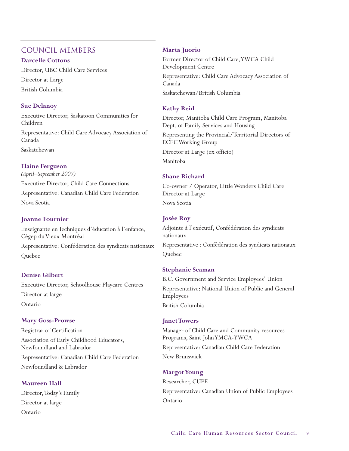## Council Members

#### **Darcelle Cottons**

Director, UBC Child Care Services Director at Large British Columbia

## **Sue Delanoy**

Executive Director, Saskatoon Communities for Children Representative: Child Care Advocacy Association of Canada Saskatchewan

## **Elaine Ferguson**

*(April–September 2007)* Executive Director, Child Care Connections Representative: Canadian Child Care Federation Nova Scotia

## **Joanne Fournier**

Enseignante en Techniques d'éducation à l'enfance, Cégep du Vieux Montréal

Representative: Confédération des syndicats nationaux **Ouebec** 

## **Denise Gilbert**

Executive Director, Schoolhouse Playcare Centres Director at large Ontario

## **Mary Goss-Prowse**

Registrar of Certification Association of Early Childhood Educators, Newfoundland and Labrador Representative: Canadian Child Care Federation Newfoundland & Labrador

## **Maureen Hall**

Director, Today's Family Director at large Ontario

#### **Marta Juorio**

Former Director of Child Care,YWCA Child Development Centre Representative: Child Care Advocacy Association of Canada Saskatchewan/British Columbia

## **Kathy Reid**

Director, Manitoba Child Care Program, Manitoba Dept. of Family Services and Housing Representing the Provincial/Territorial Directors of ECEC Working Group Director at Large (ex officio) Manitoba

## **Shane Richard**

Co-owner / Operator, Little Wonders Child Care Director at Large Nova Scotia

## **Josée Roy**

Adjointe à l'exécutif, Confédération des syndicats nationaux

Representative : Confédération des syndicats nationaux Quebec

## **Stephanie Seaman**

B.C. Government and Service Employees' Union Representative: National Union of Public and General Employees British Columbia

## **Janet Towers**

Manager of Child Care and Community resources Programs, Saint John YMCA-YWCA

Representative: Canadian Child Care Federation New Brunswick

## **Margot Young**

Researcher, CUPE Representative: Canadian Union of Public Employees Ontario